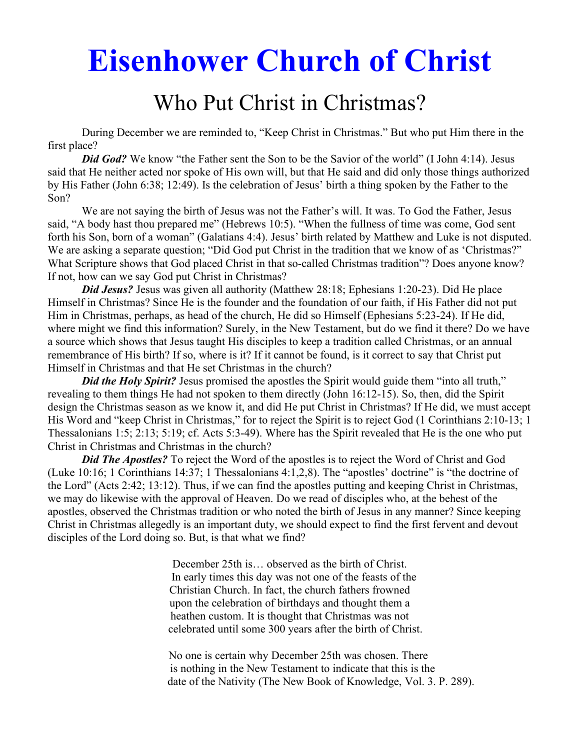# **Eisenhower Church of Christ**

## Who Put Christ in Christmas?

 During December we are reminded to, "Keep Christ in Christmas." But who put Him there in the first place?

*Did God?* We know "the Father sent the Son to be the Savior of the world" (I John 4:14). Jesus said that He neither acted nor spoke of His own will, but that He said and did only those things authorized by His Father (John 6:38; 12:49). Is the celebration of Jesus' birth a thing spoken by the Father to the Son?

 We are not saying the birth of Jesus was not the Father's will. It was. To God the Father, Jesus said, "A body hast thou prepared me" (Hebrews 10:5). "When the fullness of time was come, God sent forth his Son, born of a woman" (Galatians 4:4). Jesus' birth related by Matthew and Luke is not disputed. We are asking a separate question; "Did God put Christ in the tradition that we know of as 'Christmas?" What Scripture shows that God placed Christ in that so-called Christmas tradition"? Does anyone know? If not, how can we say God put Christ in Christmas?

*Did Jesus?* Jesus was given all authority (Matthew 28:18; Ephesians 1:20-23). Did He place Himself in Christmas? Since He is the founder and the foundation of our faith, if His Father did not put Him in Christmas, perhaps, as head of the church, He did so Himself (Ephesians 5:23-24). If He did, where might we find this information? Surely, in the New Testament, but do we find it there? Do we have a source which shows that Jesus taught His disciples to keep a tradition called Christmas, or an annual remembrance of His birth? If so, where is it? If it cannot be found, is it correct to say that Christ put Himself in Christmas and that He set Christmas in the church?

*Did the Holy Spirit?* Jesus promised the apostles the Spirit would guide them "into all truth," revealing to them things He had not spoken to them directly (John 16:12-15). So, then, did the Spirit design the Christmas season as we know it, and did He put Christ in Christmas? If He did, we must accept His Word and "keep Christ in Christmas," for to reject the Spirit is to reject God (1 Corinthians 2:10-13; 1 Thessalonians 1:5; 2:13; 5:19; cf. Acts 5:3-49). Where has the Spirit revealed that He is the one who put Christ in Christmas and Christmas in the church?

**Did The Apostles?** To reject the Word of the apostles is to reject the Word of Christ and God (Luke 10:16; 1 Corinthians 14:37; 1 Thessalonians 4:1,2,8). The "apostles' doctrine" is "the doctrine of the Lord" (Acts 2:42; 13:12). Thus, if we can find the apostles putting and keeping Christ in Christmas, we may do likewise with the approval of Heaven. Do we read of disciples who, at the behest of the apostles, observed the Christmas tradition or who noted the birth of Jesus in any manner? Since keeping Christ in Christmas allegedly is an important duty, we should expect to find the first fervent and devout disciples of the Lord doing so. But, is that what we find?

> December 25th is… observed as the birth of Christ. In early times this day was not one of the feasts of the Christian Church. In fact, the church fathers frowned upon the celebration of birthdays and thought them a heathen custom. It is thought that Christmas was not celebrated until some 300 years after the birth of Christ.

 No one is certain why December 25th was chosen. There is nothing in the New Testament to indicate that this is the date of the Nativity (The New Book of Knowledge, Vol. 3. P. 289).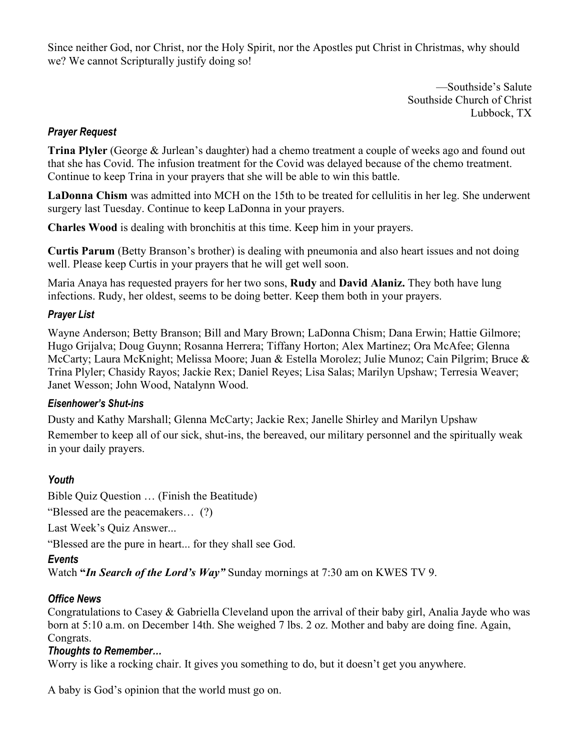Since neither God, nor Christ, nor the Holy Spirit, nor the Apostles put Christ in Christmas, why should we? We cannot Scripturally justify doing so!

> —Southside's Salute Southside Church of Christ Lubbock, TX

#### *Prayer Request*

**Trina Plyler** (George & Jurlean's daughter) had a chemo treatment a couple of weeks ago and found out that she has Covid. The infusion treatment for the Covid was delayed because of the chemo treatment. Continue to keep Trina in your prayers that she will be able to win this battle.

**LaDonna Chism** was admitted into MCH on the 15th to be treated for cellulitis in her leg. She underwent surgery last Tuesday. Continue to keep LaDonna in your prayers.

**Charles Wood** is dealing with bronchitis at this time. Keep him in your prayers.

**Curtis Parum** (Betty Branson's brother) is dealing with pneumonia and also heart issues and not doing well. Please keep Curtis in your prayers that he will get well soon.

Maria Anaya has requested prayers for her two sons, **Rudy** and **David Alaniz.** They both have lung infections. Rudy, her oldest, seems to be doing better. Keep them both in your prayers.

#### *Prayer List*

Wayne Anderson; Betty Branson; Bill and Mary Brown; LaDonna Chism; Dana Erwin; Hattie Gilmore; Hugo Grijalva; Doug Guynn; Rosanna Herrera; Tiffany Horton; Alex Martinez; Ora McAfee; Glenna McCarty; Laura McKnight; Melissa Moore; Juan & Estella Morolez; Julie Munoz; Cain Pilgrim; Bruce & Trina Plyler; Chasidy Rayos; Jackie Rex; Daniel Reyes; Lisa Salas; Marilyn Upshaw; Terresia Weaver; Janet Wesson; John Wood, Natalynn Wood.

#### *Eisenhower's Shut-ins*

Dusty and Kathy Marshall; Glenna McCarty; Jackie Rex; Janelle Shirley and Marilyn Upshaw Remember to keep all of our sick, shut-ins, the bereaved, our military personnel and the spiritually weak in your daily prayers.

#### *Youth*

Bible Quiz Question … (Finish the Beatitude)

"Blessed are the peacemakers… (?)

Last Week's Quiz Answer...

"Blessed are the pure in heart... for they shall see God.

#### *Events*

Watch **"***In Search of the Lord's Way"* Sunday mornings at 7:30 am on KWES TV 9.

#### *Office News*

Congratulations to Casey & Gabriella Cleveland upon the arrival of their baby girl, Analia Jayde who was born at 5:10 a.m. on December 14th. She weighed 7 lbs. 2 oz. Mother and baby are doing fine. Again, Congrats.

#### *Thoughts to Remember…*

Worry is like a rocking chair. It gives you something to do, but it doesn't get you anywhere.

A baby is God's opinion that the world must go on.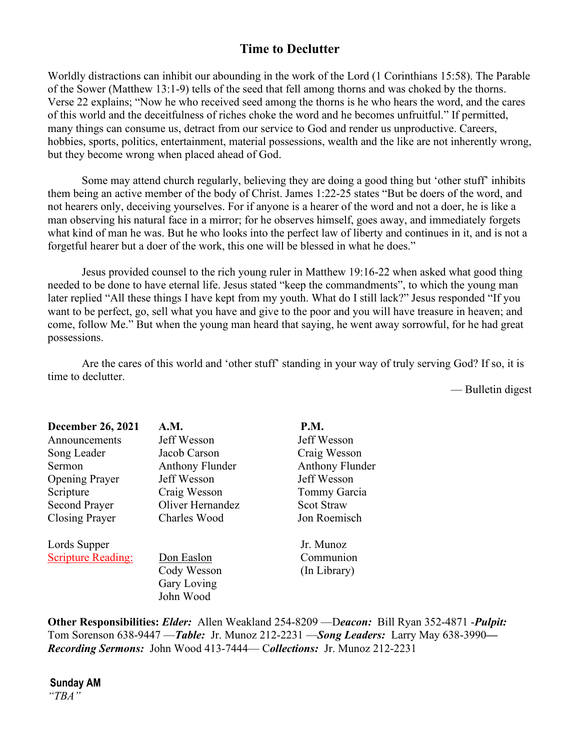### **Time to Declutter**

Worldly distractions can inhibit our abounding in the work of the Lord (1 Corinthians 15:58). The Parable of the Sower (Matthew 13:1-9) tells of the seed that fell among thorns and was choked by the thorns. Verse 22 explains; "Now he who received seed among the thorns is he who hears the word, and the cares of this world and the deceitfulness of riches choke the word and he becomes unfruitful." If permitted, many things can consume us, detract from our service to God and render us unproductive. Careers, hobbies, sports, politics, entertainment, material possessions, wealth and the like are not inherently wrong, but they become wrong when placed ahead of God.

 Some may attend church regularly, believing they are doing a good thing but 'other stuff' inhibits them being an active member of the body of Christ. James 1:22-25 states "But be doers of the word, and not hearers only, deceiving yourselves. For if anyone is a hearer of the word and not a doer, he is like a man observing his natural face in a mirror; for he observes himself, goes away, and immediately forgets what kind of man he was. But he who looks into the perfect law of liberty and continues in it, and is not a forgetful hearer but a doer of the work, this one will be blessed in what he does."

 Jesus provided counsel to the rich young ruler in Matthew 19:16-22 when asked what good thing needed to be done to have eternal life. Jesus stated "keep the commandments", to which the young man later replied "All these things I have kept from my youth. What do I still lack?" Jesus responded "If you want to be perfect, go, sell what you have and give to the poor and you will have treasure in heaven; and come, follow Me." But when the young man heard that saying, he went away sorrowful, for he had great possessions.

 Are the cares of this world and 'other stuff' standing in your way of truly serving God? If so, it is time to declutter.

— Bulletin digest

| <b>December 26, 2021</b>  | <b>A.M.</b>            | <b>P.M.</b>            |
|---------------------------|------------------------|------------------------|
| Announcements             | Jeff Wesson            | Jeff Wesson            |
| Song Leader               | Jacob Carson           | Craig Wesson           |
| Sermon                    | <b>Anthony Flunder</b> | <b>Anthony Flunder</b> |
| <b>Opening Prayer</b>     | Jeff Wesson            | Jeff Wesson            |
| Scripture                 | Craig Wesson           | Tommy Garcia           |
| <b>Second Prayer</b>      | Oliver Hernandez       | <b>Scot Straw</b>      |
| <b>Closing Prayer</b>     | Charles Wood           | Jon Roemisch           |
| Lords Supper              |                        | Jr. Munoz              |
| <b>Scripture Reading:</b> | Don Easlon             | Communion              |
|                           | Cody Wesson            | (In Library)           |
|                           | Gary Loving            |                        |
|                           | John Wood              |                        |

**Other Responsibilities:** *Elder:* Allen Weakland 254-8209 —D*eacon:*Bill Ryan 352-4871 -*Pulpit:* Tom Sorenson 638-9447 —*Table:* Jr. Munoz 212-2231 —*Song Leaders:* Larry May 638-3990*— Recording Sermons:* John Wood 413-7444— C*ollections:* Jr. Munoz 212-2231

**Sunday AM** *"TBA"*